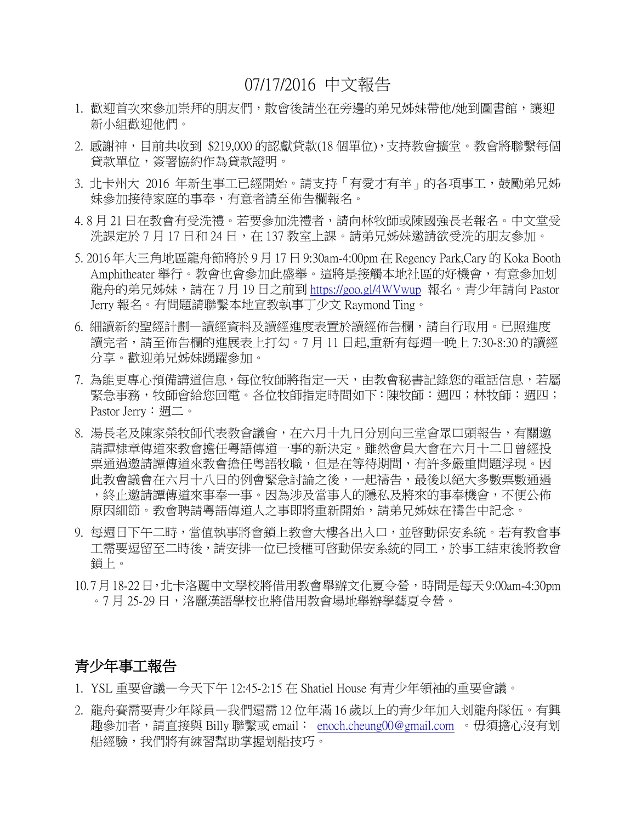# 07/17/2016 中文報告

- 1. 歡迎首次來參加崇拜的朋友們,散會後請坐在旁邊的弟兄姊妹帶他/她到圖書館,讓迎 新小組歡迎他們。
- 2. 感謝神,目前共收到 \$219,000 的認獻貸款(18個單位),支持教會擴堂。教會將聯繫每個 貸款單位,簽署協約作為貸款證明。
- 3. 北卡州大 2016 年新生事工已經開始。請支持「有愛才有羊」的各項事工,鼓勵弟兄姊 妹參加接待家庭的事奉,有意者請至佈告欄報名。
- 4. 8 月 21 日在教會有受洗禮。若要參加洗禮者,請向林牧師或陳國強長老報名。中文堂受 洗課定於 7 月 17 日和 24 日,在 137 教室上課。請弟兄姊妹邀請欲受洗的朋友參加。
- 5. 2016 年大三角地區龍舟節將於 9 月 17 日 9:30am-4:00pm 在 Regency Park,Cary 的 Koka Booth Amphitheater 舉行。教會也會參加此盛舉。這將是接觸本地社區的好機會,有意參加划 龍舟的弟兄姊妹,請在 7 月 19 日之前到 <https://goo.gl/4WVwup> 報名。青少年請向 Pastor Jerry 報名。有問題請聯繫本地宣教執事丁少文 Raymond Ting。
- 6. 細讀新約聖經計劃—讀經資料及讀經進度表置於讀經佈告欄,請自行取用。已照進度 讀完者,請至佈告欄的進展表上打勾。7 月 11 日起,重新有每週一晚上 7:30-8:30 的讀經 分享。歡迎弟兄姊妹踴躍參加。
- 7. 為能更專心預備講道信息,每位牧師將指定一天,由教會秘書記錄您的電話信息,若屬 緊急事務,牧師會給您回電。各位牧師指定時間如下:陳牧師:週四;林牧師:週四; Pastor Jerry: 週二。
- 8. 湯長老及陳家榮牧師代表教會議會,在六月十九日分別向三堂會眾口頭報告,有關邀 請譚棣章傳道來教會擔任粵語傳道一事的新決定。雖然會員大會在六月十二日曾經投 票通過邀請譚傳道來教會擔任粵語牧職,但是在等待期間,有許多嚴重問題浮現。因 此教會議會在六月十八日的例會緊急討論之後,一起禱告,最後以絕大多數票數通過 ,終止邀請譚傳道來事奉一事。因為涉及當事人的隱私及將來的事奉機會,不便公佈 原因細節。教會聘請粵語傳道人之事即將重新開始,請弟兄姊妹在禱告中記念。
- 9. 每週日下午二時,當值執事將會鎖上教會大樓各出入口,並啓動保安系統。若有教會事 工需要逗留至二時後,請安排一位已授權可啓動保安系統的同工,於事工結束後將教會 鎖上。
- 10.7月18-22日,北卡洛麗中文學校將借用教會舉辦文化夏令營,時間是每天9:00am-4:30pm 。7 月 25-29 日,洛麗漢語學校也將借用教會場地舉辦學藝夏令營。

### 青少年事工報告

- 1. YSL 重要會議—今天下午 12:45-2:15 在 Shatiel House 有青少年領袖的重要會議。
- 2. 龍舟賽需要青少年隊員—我們還需 12 位年滿 16 歲以上的青少年加入划龍舟隊伍。有興 趣參加者,請直接與 Billy 聯繫或 email: [enoch.cheung00@gmail.com](mailto:enoch.cheung00@gmail.com) 。毋須擔心沒有划 船經驗,我們將有練習幫助掌握划船技巧。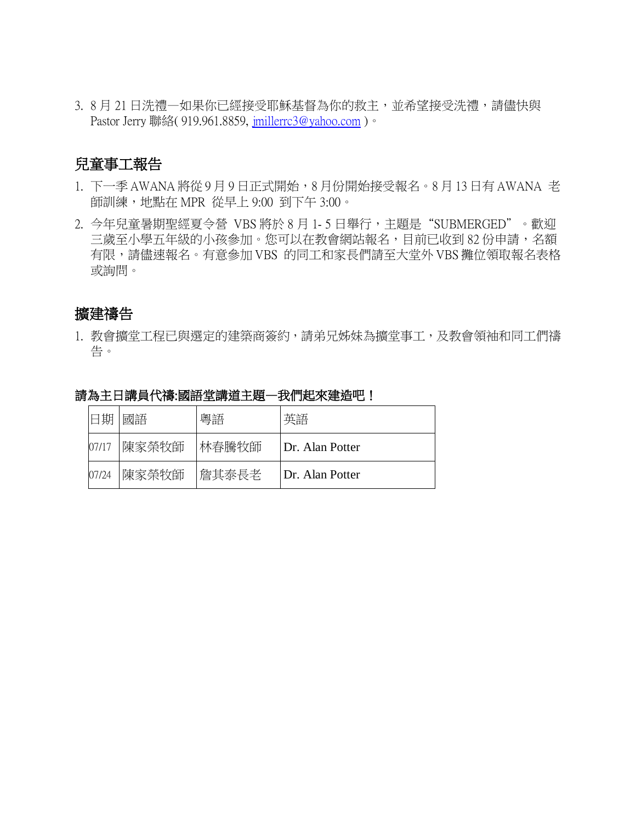3. 8月21日洗禮一如果你已經接受耶穌基督為你的救主,並希望接受洗禮,請儘快與 Pastor Jerry 聯絡( 919.961.8859, [jmillerrc3@yahoo.com](mailto:jmillerrc3@yahoo.com))。

## 兒童事工報告

- 1. 下一季 AWANA 將從 9 月 9 日正式開始,8 月份開始接受報名。8 月 13 日有 AWANA 老 師訓練,地點在 MPR 從早上 9:00 到下午 3:00。
- 2. 今年兒童暑期聖經夏令營 VBS 將於 8 月 1- 5 日舉行,主題是"SUBMERGED"。歡迎 三歲至小學五年級的小孩參加。您可以在教會網站報名,目前已收到 82 份申請,名額 有限,請儘速報名。有意參加 VBS 的同工和家長們請至大堂外 VBS 攤位領取報名表格 或詢問。

## 擴建禱告

1. 教會擴堂工程已與選定的建築商簽約,請弟兄姊妹為擴堂事工,及教會領袖和同工們禱 告。

| 日期    | 國語    | 粵語    | 英語              |
|-------|-------|-------|-----------------|
| 07/17 | 陳家榮牧師 | 林春騰牧師 | Dr. Alan Potter |
| 07/24 | 陳家榮牧師 | 詹其泰長老 | Dr. Alan Potter |

請為主日講員代禱:國語堂講道主題一我們起來建造吧!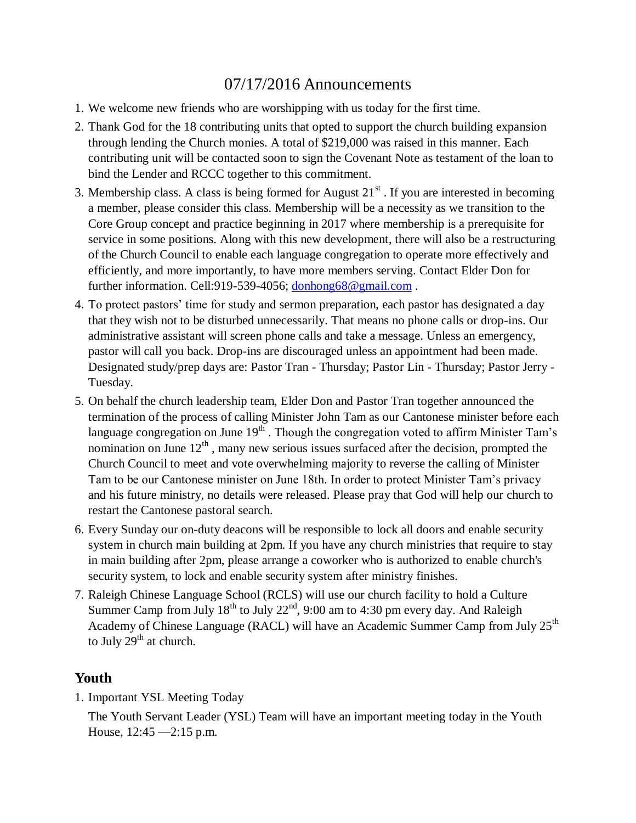# 07/17/2016 Announcements

- 1. We welcome new friends who are worshipping with us today for the first time.
- 2. Thank God for the 18 contributing units that opted to support the church building expansion through lending the Church monies. A total of \$219,000 was raised in this manner. Each contributing unit will be contacted soon to sign the Covenant Note as testament of the loan to bind the Lender and RCCC together to this commitment.
- 3. Membership class. A class is being formed for August  $21<sup>st</sup>$ . If you are interested in becoming a member, please consider this class. Membership will be a necessity as we transition to the Core Group concept and practice beginning in 2017 where membership is a prerequisite for service in some positions. Along with this new development, there will also be a restructuring of the Church Council to enable each language congregation to operate more effectively and efficiently, and more importantly, to have more members serving. Contact Elder Don for further information. Cell:919-539-4056; [donhong68@gmail.com](mailto:donhong68@gmail.com).
- 4. To protect pastors' time for study and sermon preparation, each pastor has designated a day that they wish not to be disturbed unnecessarily. That means no phone calls or drop-ins. Our administrative assistant will screen phone calls and take a message. Unless an emergency, pastor will call you back. Drop-ins are discouraged unless an appointment had been made. Designated study/prep days are: Pastor Tran - Thursday; Pastor Lin - Thursday; Pastor Jerry - Tuesday.
- 5. On behalf the church leadership team, Elder Don and Pastor Tran together announced the termination of the process of calling Minister John Tam as our Cantonese minister before each language congregation on June  $19<sup>th</sup>$ . Though the congregation voted to affirm Minister Tam's nomination on June  $12<sup>th</sup>$ , many new serious issues surfaced after the decision, prompted the Church Council to meet and vote overwhelming majority to reverse the calling of Minister Tam to be our Cantonese minister on June 18th. In order to protect Minister Tam's privacy and his future ministry, no details were released. Please pray that God will help our church to restart the Cantonese pastoral search.
- 6. Every Sunday our on-duty deacons will be responsible to lock all doors and enable security system in church main building at 2pm. If you have any church ministries that require to stay in main building after 2pm, please arrange a coworker who is authorized to enable church's security system, to lock and enable security system after ministry finishes.
- 7. Raleigh Chinese Language School (RCLS) will use our church facility to hold a Culture Summer Camp from July  $18^{th}$  to July  $22^{nd}$ , 9:00 am to 4:30 pm every day. And Raleigh Academy of Chinese Language (RACL) will have an Academic Summer Camp from July 25<sup>th</sup> to July  $29<sup>th</sup>$  at church.

# **Youth**

1. Important YSL Meeting Today

The Youth Servant Leader (YSL) Team will have an important meeting today in the Youth House, 12:45 —2:15 p.m.